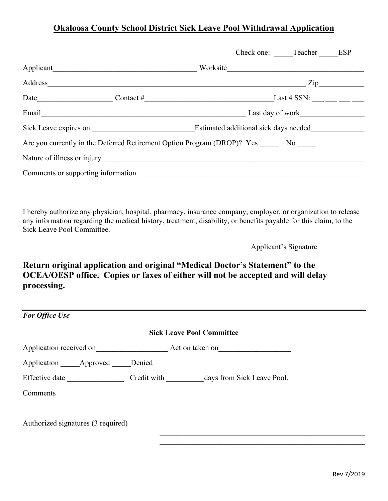## **Okaloosa County School District Sick Leave Pool Withdrawal Application**

|      |                                                                                                                                                                                                                                |                  | Check one: Teacher ESP    |                |
|------|--------------------------------------------------------------------------------------------------------------------------------------------------------------------------------------------------------------------------------|------------------|---------------------------|----------------|
|      | Applicant                                                                                                                                                                                                                      |                  |                           |                |
|      | Address and the contract of the contract of the contract of the contract of the contract of the contract of the contract of the contract of the contract of the contract of the contract of the contract of the contract of th |                  |                           | $\mathbf{Zip}$ |
| Date |                                                                                                                                                                                                                                |                  | Last 4 SSN: $\_\_$ $\_\_$ |                |
|      | Email Communication of the communication of the communication of the communication of the communication of the communication of the communication of the communication of the communication of the communication of the commun | Last day of work |                           |                |
|      |                                                                                                                                                                                                                                |                  |                           |                |
|      | Are you currently in the Deferred Retirement Option Program (DROP)? Yes No                                                                                                                                                     |                  |                           |                |
|      |                                                                                                                                                                                                                                |                  |                           |                |
|      | Comments or supporting information<br><u>Comments</u> or supporting information                                                                                                                                                |                  |                           |                |
|      |                                                                                                                                                                                                                                |                  |                           |                |
|      |                                                                                                                                                                                                                                |                  |                           |                |

I hereby authorize any physician, hospital, pharmacy, insurance company, employer, or organization to release any information regarding the medical history, treatment, disability, or benefits payable for this claim, to the Sick Leave Pool Committee.

Applicant's Signature

**Return original application and original "Medical Doctor's Statement" to the OCEA/OESP office. Copies or faxes of either will not be accepted and will delay processing.** 

| <b>For Office Use</b>              |             |                                  |  |
|------------------------------------|-------------|----------------------------------|--|
|                                    |             | <b>Sick Leave Pool Committee</b> |  |
| Application received on            |             | Action taken on                  |  |
| Application Approved               | Denied      |                                  |  |
| Effective date                     | Credit with | days from Sick Leave Pool.       |  |
| Comments                           |             |                                  |  |
|                                    |             |                                  |  |
| Authorized signatures (3 required) |             |                                  |  |
|                                    |             |                                  |  |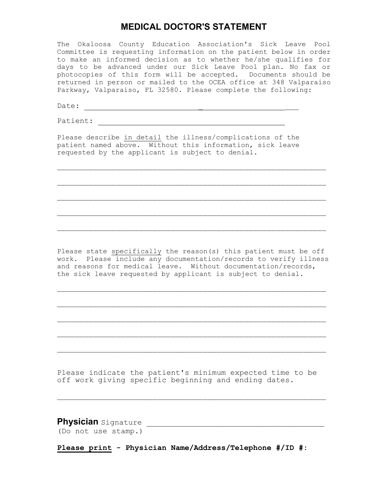## **MEDICAL DOCTOR'S STATEMENT**

The Okaloosa County Education Association's Sick Leave Pool Committee is requesting information on the patient below in order to make an informed decision as to whether he/she qualifies for days to be advanced under our Sick Leave Pool plan. No fax or photocopies of this form will be accepted. Documents should be returned in person or mailed to the OCEA office at 348 Valparaiso Parkway, Valparaiso, FL 32580. Please complete the following:

Date:

Patient:

Please describe in detail the illness/complications of the patient named above. Without this information, sick leave requested by the applicant is subject to denial.

Please state specifically the reason(s) this patient must be off work. Please include any documentation/records to verify illness and reasons for medical leave. Without documentation/records, the sick leave requested by applicant is subject to denial.

Please indicate the patient's minimum expected time to be off work giving specific beginning and ending dates.

## **Physician** Signature \_\_\_\_\_\_\_\_\_\_\_\_\_\_\_\_\_\_\_\_\_\_\_\_\_\_\_\_\_\_\_\_\_\_\_\_\_\_\_

(Do not use stamp.)

**Please print - Physician Name/Address/Telephone #/ID #:**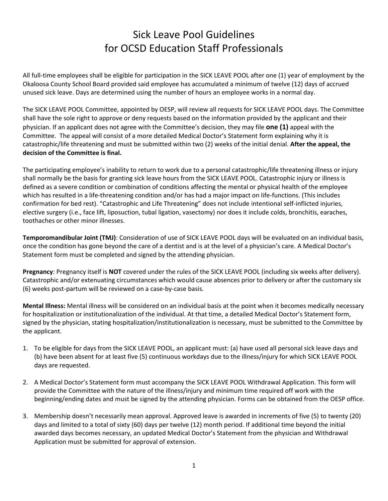## Sick Leave Pool Guidelines for OCSD Education Staff Professionals

All full-time employees shall be eligible for participation in the SICK LEAVE POOL after one (1) year of employment by the Okaloosa County School Board provided said employee has accumulated a minimum of twelve (12) days of accrued unused sick leave. Days are determined using the number of hours an employee works in a normal day.

The SICK LEAVE POOL Committee, appointed by OESP, will review all requests for SICK LEAVE POOL days. The Committee shall have the sole right to approve or deny requests based on the information provided by the applicant and their physician. If an applicant does not agree with the Committee's decision, they may file **one (1)** appeal with the Committee. The appeal will consist of a more detailed Medical Doctor's Statement form explaining why it is catastrophic/life threatening and must be submitted within two (2) weeks of the initial denial. **After the appeal, the decision of the Committee is final.**

The participating employee's inability to return to work due to a personal catastrophic/life threatening illness or injury shall normally be the basis for granting sick leave hours from the SICK LEAVE POOL. Catastrophic injury or illness is defined as a severe condition or combination of conditions affecting the mental or physical health of the employee which has resulted in a life-threatening condition and/or has had a major impact on life-functions. (This includes confirmation for bed rest). "Catastrophic and Life Threatening" does not include intentional self-inflicted injuries, elective surgery (i.e., face lift, liposuction, tubal ligation, vasectomy) nor does it include colds, bronchitis, earaches, toothaches or other minor illnesses.

**Temporomandibular Joint (TMJ)**: Consideration of use of SICK LEAVE POOL days will be evaluated on an individual basis, once the condition has gone beyond the care of a dentist and is at the level of a physician's care. A Medical Doctor's Statement form must be completed and signed by the attending physician.

**Pregnancy**: Pregnancy itself is **NOT** covered under the rules of the SICK LEAVE POOL (including six weeks after delivery). Catastrophic and/or extenuating circumstances which would cause absences prior to delivery or after the customary six (6) weeks post-partum will be reviewed on a case-by-case basis.

**Mental Illness:** Mental illness will be considered on an individual basis at the point when it becomes medically necessary for hospitalization or institutionalization of the individual. At that time, a detailed Medical Doctor's Statement form, signed by the physician, stating hospitalization/institutionalization is necessary, must be submitted to the Committee by the applicant.

- 1. To be eligible for days from the SICK LEAVE POOL, an applicant must: (a) have used all personal sick leave days and (b) have been absent for at least five (5) continuous workdays due to the illness/injury for which SICK LEAVE POOL days are requested.
- 2. A Medical Doctor's Statement form must accompany the SICK LEAVE POOL Withdrawal Application. This form will provide the Committee with the nature of the illness/injury and minimum time required off work with the beginning/ending dates and must be signed by the attending physician. Forms can be obtained from the OESP office.
- 3. Membership doesn't necessarily mean approval. Approved leave is awarded in increments of five (5) to twenty (20) days and limited to a total of sixty (60) days per twelve (12) month period. If additional time beyond the initial awarded days becomes necessary, an updated Medical Doctor's Statement from the physician and Withdrawal Application must be submitted for approval of extension.